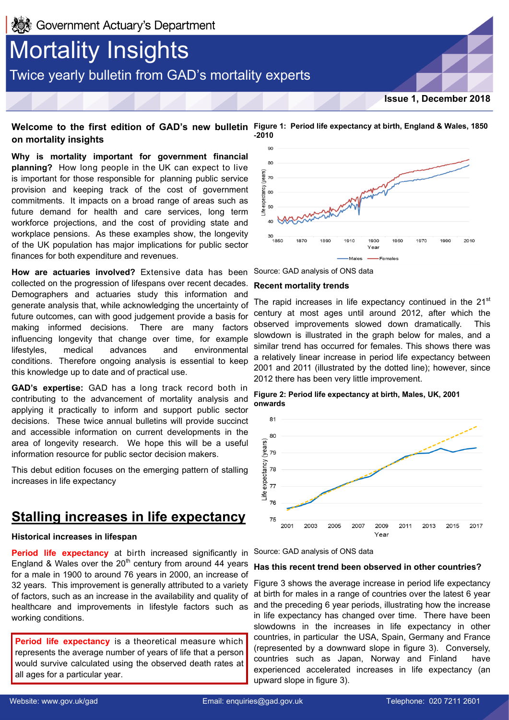# **Mortality Insights** Twice yearly bulletin from GAD's mortality experts

**Issue 1, December 2018**

## **Welcome to the first edition of GAD's new bulletin Figure 1: Period life expectancy at birth, England & Wales, 1850 on mortality insights**

**Why is mortality important for government financial planning?** How long people in the UK can expect to live is important for those responsible for planning public service provision and keeping track of the cost of government commitments. It impacts on a broad range of areas such as future demand for health and care services, long term workforce projections, and the cost of providing state and workplace pensions. As these examples show, the longevity of the UK population has major implications for public sector finances for both expenditure and revenues.

**How are actuaries involved?** Extensive data has been collected on the progression of lifespans over recent decades. Demographers and actuaries study this information and generate analysis that, while acknowledging the uncertainty of future outcomes, can with good judgement provide a basis for making informed decisions. There are many factors influencing longevity that change over time, for example lifestyles, medical advances and environmental conditions. Therefore ongoing analysis is essential to keep this knowledge up to date and of practical use.

**GAD's expertise:** GAD has a long track record both in contributing to the advancement of mortality analysis and applying it practically to inform and support public sector decisions. These twice annual bulletins will provide succinct and accessible information on current developments in the area of longevity research. We hope this will be a useful information resource for public sector decision makers.

This debut edition focuses on the emerging pattern of stalling increases in life expectancy

## **Stalling increases in life expectancy**

## **Historical increases in lifespan**

**Period life expectancy** at birth increased significantly in Source: GAD analysis of ONS data England & Wales over the  $20<sup>th</sup>$  century from around 44 years for a male in 1900 to around 76 years in 2000, an increase of 32 years. This improvement is generally attributed to a variety of factors, such as an increase in the availability and quality of healthcare and improvements in lifestyle factors such as working conditions.

**Period life expectancy** is a theoretical measure which represents the average number of years of life that a person would survive calculated using the observed death rates at all ages for a particular year.



Source: GAD analysis of ONS data

## **Recent mortality trends**

The rapid increases in life expectancy continued in the  $21<sup>st</sup>$ century at most ages until around 2012, after which the observed improvements slowed down dramatically. This slowdown is illustrated in the graph below for males, and a similar trend has occurred for females. This shows there was a relatively linear increase in period life expectancy between 2001 and 2011 (illustrated by the dotted line); however, since 2012 there has been very little improvement.

**Figure 2: Period life expectancy at birth, Males, UK, 2001 onwards**



### **Has this recent trend been observed in other countries?**

Figure 3 shows the average increase in period life expectancy at birth for males in a range of countries over the latest 6 year and the preceding 6 year periods, illustrating how the increase in life expectancy has changed over time. There have been slowdowns in the increases in life expectancy in other countries, in particular the USA, Spain, Germany and France (represented by a downward slope in figure 3). Conversely, countries such as Japan, Norway and Finland have experienced accelerated increases in life expectancy (an upward slope in figure 3).